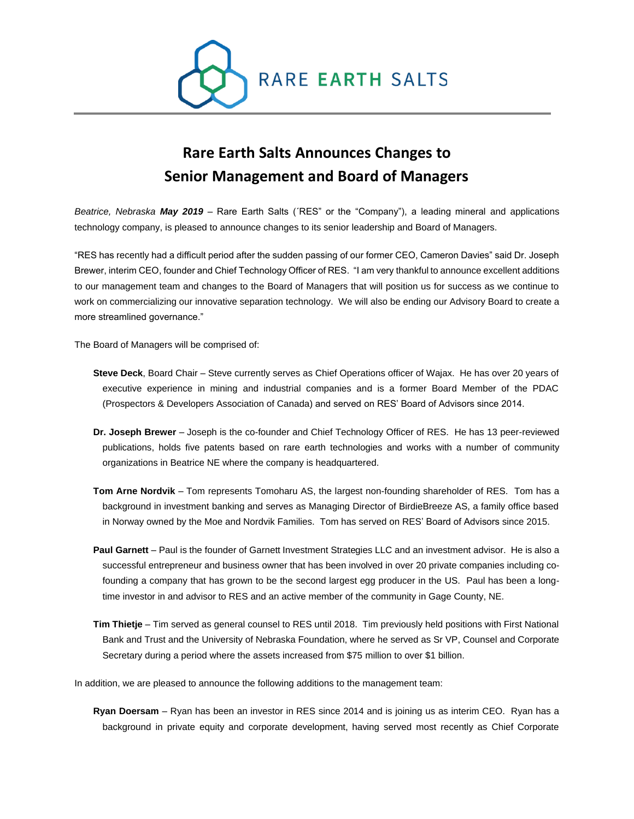

## **Rare Earth Salts Announces Changes to Senior Management and Board of Managers**

*Beatrice, Nebraska May 2019* – Rare Earth Salts (´RES" or the "Company"), a leading mineral and applications technology company, is pleased to announce changes to its senior leadership and Board of Managers.

"RES has recently had a difficult period after the sudden passing of our former CEO, Cameron Davies" said Dr. Joseph Brewer, interim CEO, founder and Chief Technology Officer of RES. "I am very thankful to announce excellent additions to our management team and changes to the Board of Managers that will position us for success as we continue to work on commercializing our innovative separation technology. We will also be ending our Advisory Board to create a more streamlined governance."

The Board of Managers will be comprised of:

- **Steve Deck**, Board Chair Steve currently serves as Chief Operations officer of Wajax. He has over 20 years of executive experience in mining and industrial companies and is a former Board Member of the PDAC (Prospectors & Developers Association of Canada) and served on RES' Board of Advisors since 2014.
- **Dr. Joseph Brewer** Joseph is the co-founder and Chief Technology Officer of RES. He has 13 peer-reviewed publications, holds five patents based on rare earth technologies and works with a number of community organizations in Beatrice NE where the company is headquartered.
- **Tom Arne Nordvik** Tom represents Tomoharu AS, the largest non-founding shareholder of RES. Tom has a background in investment banking and serves as Managing Director of BirdieBreeze AS, a family office based in Norway owned by the Moe and Nordvik Families. Tom has served on RES' Board of Advisors since 2015.
- **Paul Garnett** Paul is the founder of Garnett Investment Strategies LLC and an investment advisor. He is also a successful entrepreneur and business owner that has been involved in over 20 private companies including cofounding a company that has grown to be the second largest egg producer in the US. Paul has been a longtime investor in and advisor to RES and an active member of the community in Gage County, NE.
- **Tim Thietje** Tim served as general counsel to RES until 2018. Tim previously held positions with First National Bank and Trust and the University of Nebraska Foundation, where he served as Sr VP, Counsel and Corporate Secretary during a period where the assets increased from \$75 million to over \$1 billion.

In addition, we are pleased to announce the following additions to the management team:

**Ryan Doersam** – Ryan has been an investor in RES since 2014 and is joining us as interim CEO. Ryan has a background in private equity and corporate development, having served most recently as Chief Corporate